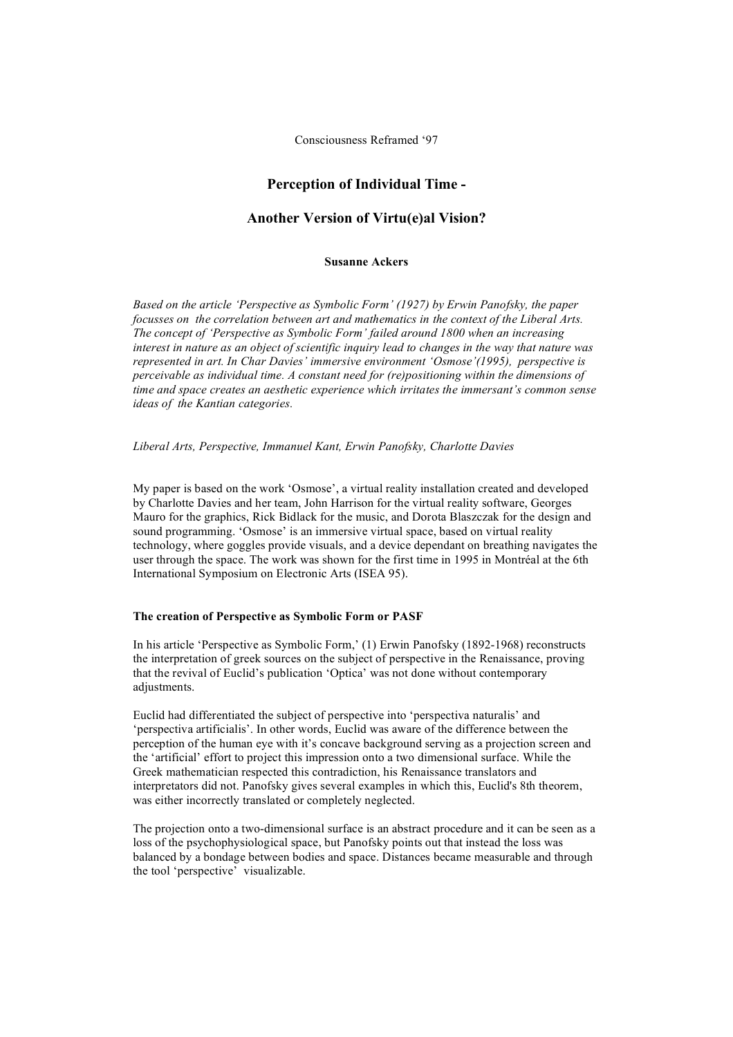Consciousness Reframed '97

# **Perception of Individual Time -**

# **Another Version of Virtu(e)al Vision?**

#### **Susanne Ackers**

*Based on the article 'Perspective as Symbolic Form' (1927) by Erwin Panofsky, the paper focusses on the correlation between art and mathematics in the context of the Liberal Arts. The concept of 'Perspective as Symbolic Form' failed around 1800 when an increasing interest in nature as an object of scientific inquiry lead to changes in the way that nature was represented in art. In Char Davies' immersive environment 'Osmose'(1995), perspective is perceivable as individual time. A constant need for (re)positioning within the dimensions of time and space creates an aesthetic experience which irritates the immersant's common sense ideas of the Kantian categories.*

#### *Liberal Arts, Perspective, Immanuel Kant, Erwin Panofsky, Charlotte Davies*

My paper is based on the work 'Osmose', a virtual reality installation created and developed by Charlotte Davies and her team, John Harrison for the virtual reality software, Georges Mauro for the graphics, Rick Bidlack for the music, and Dorota Blaszczak for the design and sound programming. 'Osmose' is an immersive virtual space, based on virtual reality technology, where goggles provide visuals, and a device dependant on breathing navigates the user through the space. The work was shown for the first time in 1995 in Montréal at the 6th International Symposium on Electronic Arts (ISEA 95).

## **The creation of Perspective as Symbolic Form or PASF**

In his article 'Perspective as Symbolic Form,' (1) Erwin Panofsky (1892-1968) reconstructs the interpretation of greek sources on the subject of perspective in the Renaissance, proving that the revival of Euclid's publication 'Optica' was not done without contemporary adjustments.

Euclid had differentiated the subject of perspective into 'perspectiva naturalis' and 'perspectiva artificialis'. In other words, Euclid was aware of the difference between the perception of the human eye with it's concave background serving as a projection screen and the 'artificial' effort to project this impression onto a two dimensional surface. While the Greek mathematician respected this contradiction, his Renaissance translators and interpretators did not. Panofsky gives several examples in which this, Euclid's 8th theorem, was either incorrectly translated or completely neglected.

The projection onto a two-dimensional surface is an abstract procedure and it can be seen as a loss of the psychophysiological space, but Panofsky points out that instead the loss was balanced by a bondage between bodies and space. Distances became measurable and through the tool 'perspective' visualizable.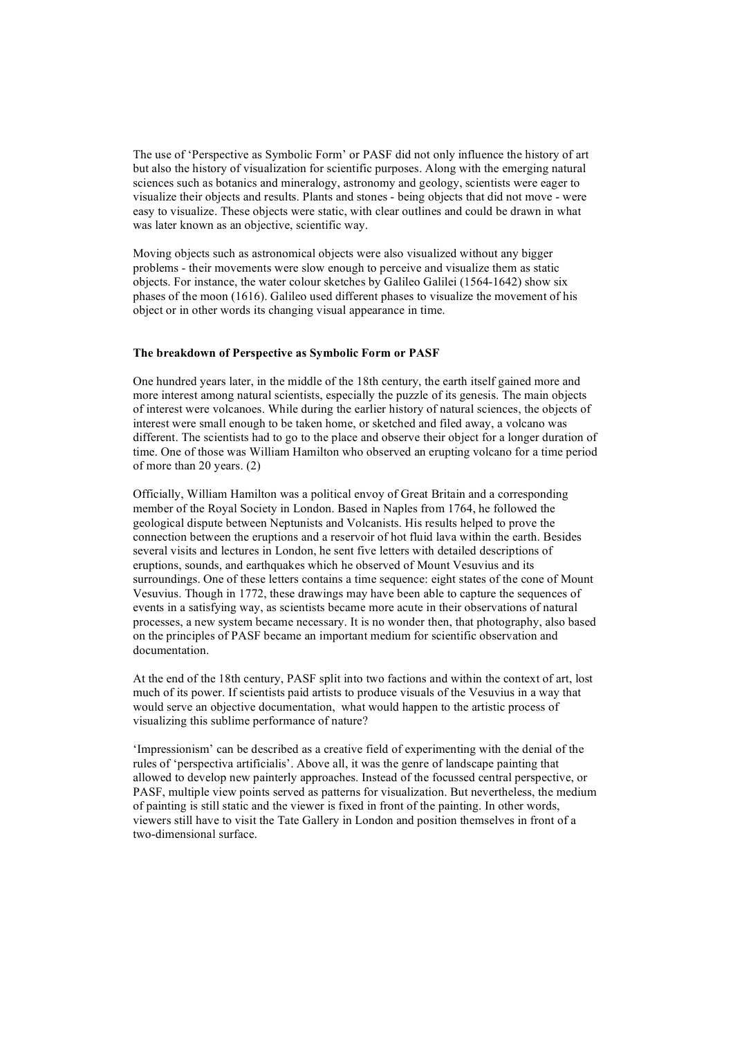The use of 'Perspective as Symbolic Form' or PASF did not only influence the history of art but also the history of visualization for scientific purposes. Along with the emerging natural sciences such as botanics and mineralogy, astronomy and geology, scientists were eager to visualize their objects and results. Plants and stones - being objects that did not move - were easy to visualize. These objects were static, with clear outlines and could be drawn in what was later known as an objective, scientific way.

Moving objects such as astronomical objects were also visualized without any bigger problems - their movements were slow enough to perceive and visualize them as static objects. For instance, the water colour sketches by Galileo Galilei (1564-1642) show six phases of the moon (1616). Galileo used different phases to visualize the movement of his object or in other words its changing visual appearance in time.

#### **The breakdown of Perspective as Symbolic Form or PASF**

One hundred years later, in the middle of the 18th century, the earth itself gained more and more interest among natural scientists, especially the puzzle of its genesis. The main objects of interest were volcanoes. While during the earlier history of natural sciences, the objects of interest were small enough to be taken home, or sketched and filed away, a volcano was different. The scientists had to go to the place and observe their object for a longer duration of time. One of those was William Hamilton who observed an erupting volcano for a time period of more than 20 years. (2)

Officially, William Hamilton was a political envoy of Great Britain and a corresponding member of the Royal Society in London. Based in Naples from 1764, he followed the geological dispute between Neptunists and Volcanists. His results helped to prove the connection between the eruptions and a reservoir of hot fluid lava within the earth. Besides several visits and lectures in London, he sent five letters with detailed descriptions of eruptions, sounds, and earthquakes which he observed of Mount Vesuvius and its surroundings. One of these letters contains a time sequence: eight states of the cone of Mount Vesuvius. Though in 1772, these drawings may have been able to capture the sequences of events in a satisfying way, as scientists became more acute in their observations of natural processes, a new system became necessary. It is no wonder then, that photography, also based on the principles of PASF became an important medium for scientific observation and documentation.

At the end of the 18th century, PASF split into two factions and within the context of art, lost much of its power. If scientists paid artists to produce visuals of the Vesuvius in a way that would serve an objective documentation, what would happen to the artistic process of visualizing this sublime performance of nature?

'Impressionism' can be described as a creative field of experimenting with the denial of the rules of 'perspectiva artificialis'. Above all, it was the genre of landscape painting that allowed to develop new painterly approaches. Instead of the focussed central perspective, or PASF, multiple view points served as patterns for visualization. But nevertheless, the medium of painting is still static and the viewer is fixed in front of the painting. In other words, viewers still have to visit the Tate Gallery in London and position themselves in front of a two-dimensional surface.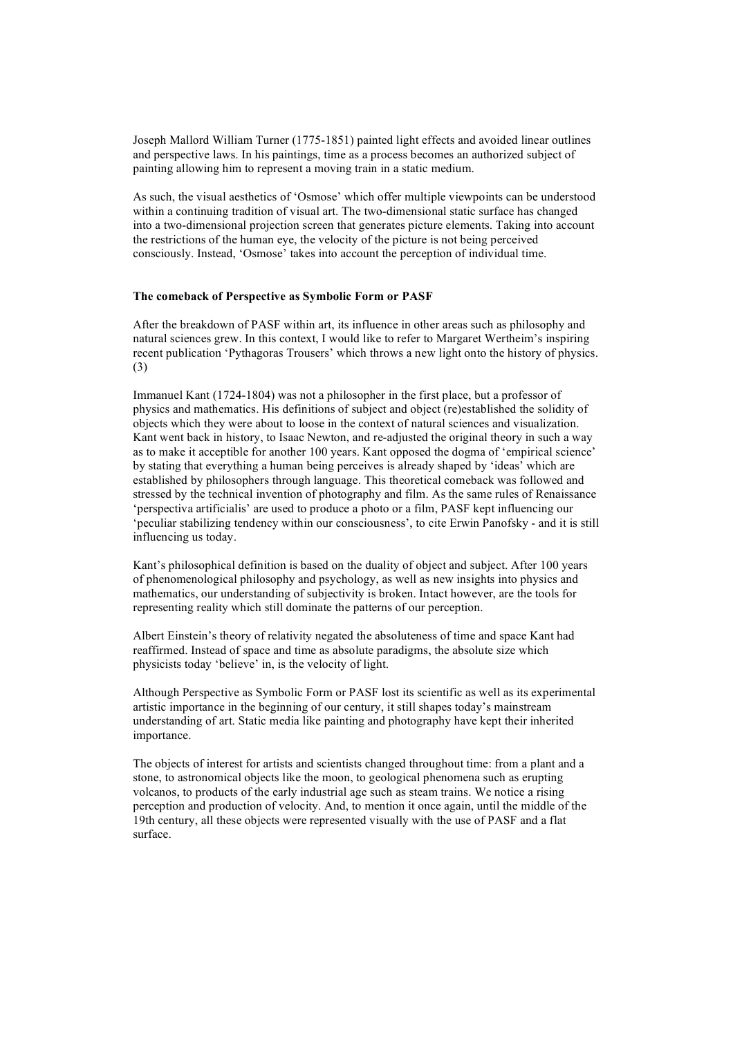Joseph Mallord William Turner (1775-1851) painted light effects and avoided linear outlines and perspective laws. In his paintings, time as a process becomes an authorized subject of painting allowing him to represent a moving train in a static medium.

As such, the visual aesthetics of 'Osmose' which offer multiple viewpoints can be understood within a continuing tradition of visual art. The two-dimensional static surface has changed into a two-dimensional projection screen that generates picture elements. Taking into account the restrictions of the human eye, the velocity of the picture is not being perceived consciously. Instead, 'Osmose' takes into account the perception of individual time.

### **The comeback of Perspective as Symbolic Form or PASF**

After the breakdown of PASF within art, its influence in other areas such as philosophy and natural sciences grew. In this context, I would like to refer to Margaret Wertheim's inspiring recent publication 'Pythagoras Trousers' which throws a new light onto the history of physics. (3)

Immanuel Kant (1724-1804) was not a philosopher in the first place, but a professor of physics and mathematics. His definitions of subject and object (re)established the solidity of objects which they were about to loose in the context of natural sciences and visualization. Kant went back in history, to Isaac Newton, and re-adjusted the original theory in such a way as to make it acceptible for another 100 years. Kant opposed the dogma of 'empirical science' by stating that everything a human being perceives is already shaped by 'ideas' which are established by philosophers through language. This theoretical comeback was followed and stressed by the technical invention of photography and film. As the same rules of Renaissance 'perspectiva artificialis' are used to produce a photo or a film, PASF kept influencing our 'peculiar stabilizing tendency within our consciousness', to cite Erwin Panofsky - and it is still influencing us today.

Kant's philosophical definition is based on the duality of object and subject. After 100 years of phenomenological philosophy and psychology, as well as new insights into physics and mathematics, our understanding of subjectivity is broken. Intact however, are the tools for representing reality which still dominate the patterns of our perception.

Albert Einstein's theory of relativity negated the absoluteness of time and space Kant had reaffirmed. Instead of space and time as absolute paradigms, the absolute size which physicists today 'believe' in, is the velocity of light.

Although Perspective as Symbolic Form or PASF lost its scientific as well as its experimental artistic importance in the beginning of our century, it still shapes today's mainstream understanding of art. Static media like painting and photography have kept their inherited importance.

The objects of interest for artists and scientists changed throughout time: from a plant and a stone, to astronomical objects like the moon, to geological phenomena such as erupting volcanos, to products of the early industrial age such as steam trains. We notice a rising perception and production of velocity. And, to mention it once again, until the middle of the 19th century, all these objects were represented visually with the use of PASF and a flat surface.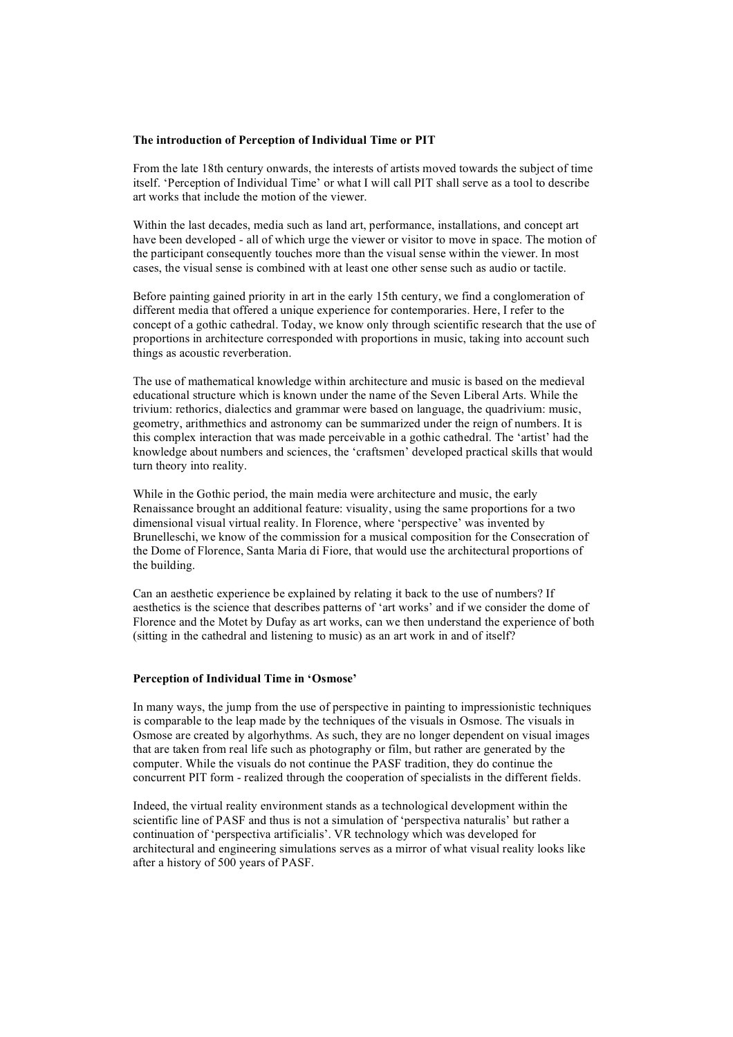## **The introduction of Perception of Individual Time or PIT**

From the late 18th century onwards, the interests of artists moved towards the subject of time itself. 'Perception of Individual Time' or what I will call PIT shall serve as a tool to describe art works that include the motion of the viewer.

Within the last decades, media such as land art, performance, installations, and concept art have been developed - all of which urge the viewer or visitor to move in space. The motion of the participant consequently touches more than the visual sense within the viewer. In most cases, the visual sense is combined with at least one other sense such as audio or tactile.

Before painting gained priority in art in the early 15th century, we find a conglomeration of different media that offered a unique experience for contemporaries. Here, I refer to the concept of a gothic cathedral. Today, we know only through scientific research that the use of proportions in architecture corresponded with proportions in music, taking into account such things as acoustic reverberation.

The use of mathematical knowledge within architecture and music is based on the medieval educational structure which is known under the name of the Seven Liberal Arts. While the trivium: rethorics, dialectics and grammar were based on language, the quadrivium: music, geometry, arithmethics and astronomy can be summarized under the reign of numbers. It is this complex interaction that was made perceivable in a gothic cathedral. The 'artist' had the knowledge about numbers and sciences, the 'craftsmen' developed practical skills that would turn theory into reality.

While in the Gothic period, the main media were architecture and music, the early Renaissance brought an additional feature: visuality, using the same proportions for a two dimensional visual virtual reality. In Florence, where 'perspective' was invented by Brunelleschi, we know of the commission for a musical composition for the Consecration of the Dome of Florence, Santa Maria di Fiore, that would use the architectural proportions of the building.

Can an aesthetic experience be explained by relating it back to the use of numbers? If aesthetics is the science that describes patterns of 'art works' and if we consider the dome of Florence and the Motet by Dufay as art works, can we then understand the experience of both (sitting in the cathedral and listening to music) as an art work in and of itself?

### **Perception of Individual Time in 'Osmose'**

In many ways, the jump from the use of perspective in painting to impressionistic techniques is comparable to the leap made by the techniques of the visuals in Osmose. The visuals in Osmose are created by algorhythms. As such, they are no longer dependent on visual images that are taken from real life such as photography or film, but rather are generated by the computer. While the visuals do not continue the PASF tradition, they do continue the concurrent PIT form - realized through the cooperation of specialists in the different fields.

Indeed, the virtual reality environment stands as a technological development within the scientific line of PASF and thus is not a simulation of 'perspectiva naturalis' but rather a continuation of 'perspectiva artificialis'. VR technology which was developed for architectural and engineering simulations serves as a mirror of what visual reality looks like after a history of 500 years of PASF.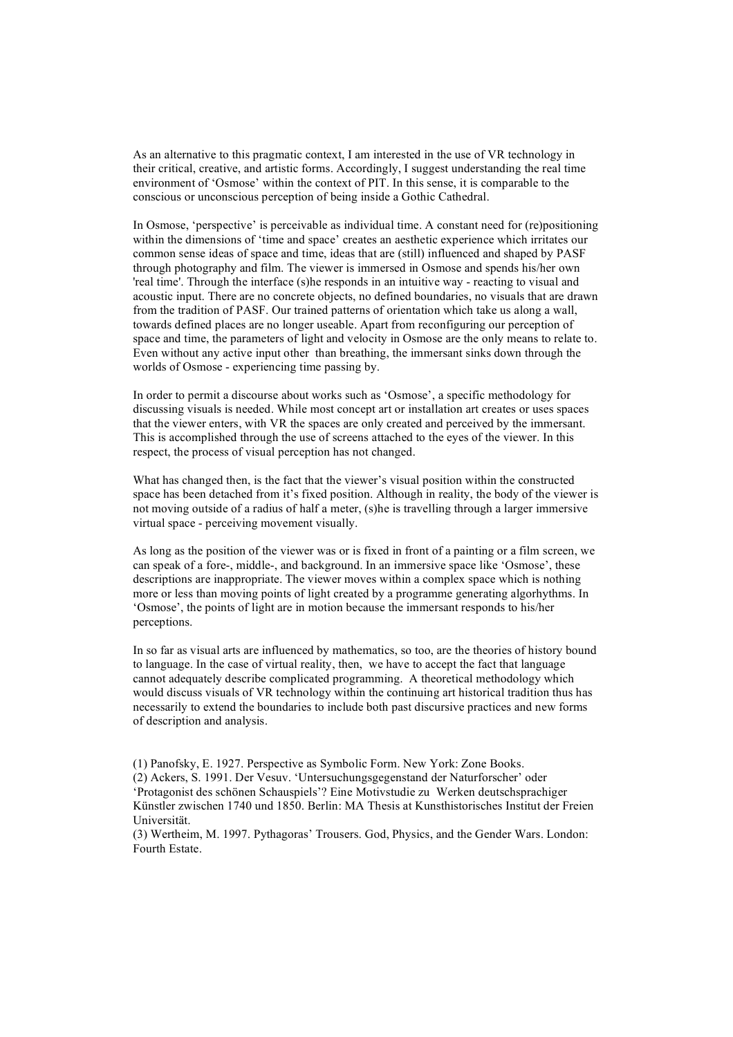As an alternative to this pragmatic context, I am interested in the use of VR technology in their critical, creative, and artistic forms. Accordingly, I suggest understanding the real time environment of 'Osmose' within the context of PIT. In this sense, it is comparable to the conscious or unconscious perception of being inside a Gothic Cathedral.

In Osmose, 'perspective' is perceivable as individual time. A constant need for (re)positioning within the dimensions of 'time and space' creates an aesthetic experience which irritates our common sense ideas of space and time, ideas that are (still) influenced and shaped by PASF through photography and film. The viewer is immersed in Osmose and spends his/her own 'real time'. Through the interface (s)he responds in an intuitive way - reacting to visual and acoustic input. There are no concrete objects, no defined boundaries, no visuals that are drawn from the tradition of PASF. Our trained patterns of orientation which take us along a wall, towards defined places are no longer useable. Apart from reconfiguring our perception of space and time, the parameters of light and velocity in Osmose are the only means to relate to. Even without any active input other than breathing, the immersant sinks down through the worlds of Osmose - experiencing time passing by.

In order to permit a discourse about works such as 'Osmose', a specific methodology for discussing visuals is needed. While most concept art or installation art creates or uses spaces that the viewer enters, with VR the spaces are only created and perceived by the immersant. This is accomplished through the use of screens attached to the eyes of the viewer. In this respect, the process of visual perception has not changed.

What has changed then, is the fact that the viewer's visual position within the constructed space has been detached from it's fixed position. Although in reality, the body of the viewer is not moving outside of a radius of half a meter, (s)he is travelling through a larger immersive virtual space - perceiving movement visually.

As long as the position of the viewer was or is fixed in front of a painting or a film screen, we can speak of a fore-, middle-, and background. In an immersive space like 'Osmose', these descriptions are inappropriate. The viewer moves within a complex space which is nothing more or less than moving points of light created by a programme generating algorhythms. In 'Osmose', the points of light are in motion because the immersant responds to his/her perceptions.

In so far as visual arts are influenced by mathematics, so too, are the theories of history bound to language. In the case of virtual reality, then, we have to accept the fact that language cannot adequately describe complicated programming. A theoretical methodology which would discuss visuals of VR technology within the continuing art historical tradition thus has necessarily to extend the boundaries to include both past discursive practices and new forms of description and analysis.

<sup>(1)</sup> Panofsky, E. 1927. Perspective as Symbolic Form. New York: Zone Books. (2) Ackers, S. 1991. Der Vesuv. 'Untersuchungsgegenstand der Naturforscher' oder 'Protagonist des schönen Schauspiels'? Eine Motivstudie zu Werken deutschsprachiger Künstler zwischen 1740 und 1850. Berlin: MA Thesis at Kunsthistorisches Institut der Freien Universität.

<sup>(3)</sup> Wertheim, M. 1997. Pythagoras' Trousers. God, Physics, and the Gender Wars. London: Fourth Estate.